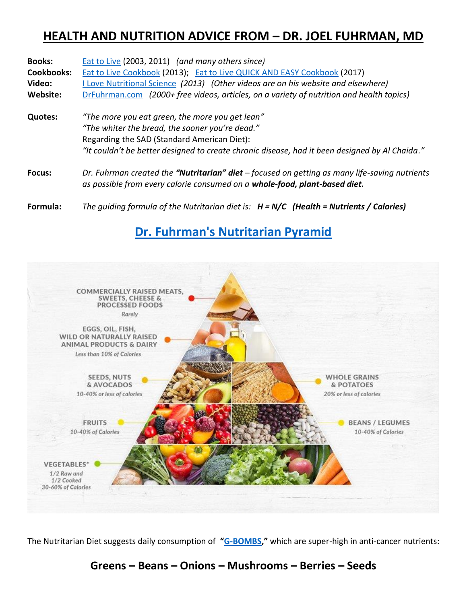## **HEALTH AND NUTRITION ADVICE FROM – DR. JOEL FUHRMAN, MD**

| <b>Books:</b>     | Eat to Live (2003, 2011) (and many others since)                                                                                                                                                                                                    |  |  |
|-------------------|-----------------------------------------------------------------------------------------------------------------------------------------------------------------------------------------------------------------------------------------------------|--|--|
| <b>Cookbooks:</b> | Eat to Live Cookbook (2013); Eat to Live QUICK AND EASY Cookbook (2017)                                                                                                                                                                             |  |  |
| Video:            | I Love Nutritional Science (2013) (Other videos are on his website and elsewhere)                                                                                                                                                                   |  |  |
| Website:          | DrFuhrman.com (2000+ free videos, articles, on a variety of nutrition and health topics)                                                                                                                                                            |  |  |
| <b>Quotes:</b>    | "The more you eat green, the more you get lean"<br>"The whiter the bread, the sooner you're dead."<br>Regarding the SAD (Standard American Diet):<br>"It couldn't be better designed to create chronic disease, had it been designed by Al Chaida." |  |  |
| Focus:            | Dr. Fuhrman created the "Nutritarian" diet - focused on getting as many life-saving nutrients<br>as possible from every calorie consumed on a whole-food, plant-based diet.                                                                         |  |  |
| Formula:          | The quiding formula of the Nutritarian diet is: $H = N/C$ (Health = Nutrients / Calories)                                                                                                                                                           |  |  |

### **[Dr. Fuhrman's Nutritarian Pyramid](https://www.drfuhrman.com/blog/90/dr-fuhrmans-nutritarian-pyramid)**



The Nutritarian Diet suggests daily consumption of **"[G-BOMBS](https://www.drfuhrman.com/blog/62/the-healthiest-anti-cancer-foods-g-bombs),"** which are super-high in anti-cancer nutrients:

#### **Greens – Beans – Onions – Mushrooms – Berries – Seeds**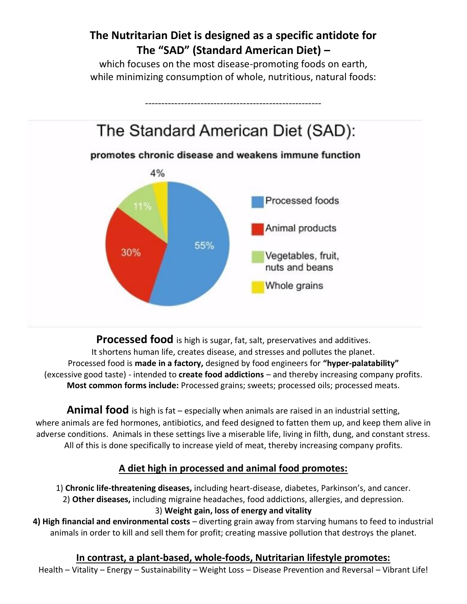## **The Nutritarian Diet is designed as a specific antidote for The "SAD" (Standard American Diet) –**

which focuses on the most disease-promoting foods on earth, while minimizing consumption of whole, nutritious, natural foods:



**Processed food** is high is sugar, fat, salt, preservatives and additives. It shortens human life, creates disease, and stresses and pollutes the planet. Processed food is **made in a factory,** designed by food engineers for **"hyper-palatability"** (excessive good taste) - intended to **create food addictions** – and thereby increasing company profits. **Most common forms include:** Processed grains; sweets; processed oils; processed meats.

**Animal food** is high is fat – especially when animals are raised in an industrial setting, where animals are fed hormones, antibiotics, and feed designed to fatten them up, and keep them alive in adverse conditions. Animals in these settings live a miserable life, living in filth, dung, and constant stress. All of this is done specifically to increase yield of meat, thereby increasing company profits.

#### **A diet high in processed and animal food promotes:**

1) **Chronic life-threatening diseases,** including heart-disease, diabetes, Parkinson's, and cancer. 2) **Other diseases,** including migraine headaches, food addictions, allergies, and depression. 3) **Weight gain, loss of energy and vitality**

**4) High financial and environmental costs** – diverting grain away from starving humans to feed to industrial animals in order to kill and sell them for profit; creating massive pollution that destroys the planet.

# **In contrast, a plant-based, whole-foods, Nutritarian lifestyle promotes:**

Health – Vitality – Energy – Sustainability – Weight Loss – Disease Prevention and Reversal – Vibrant Life!